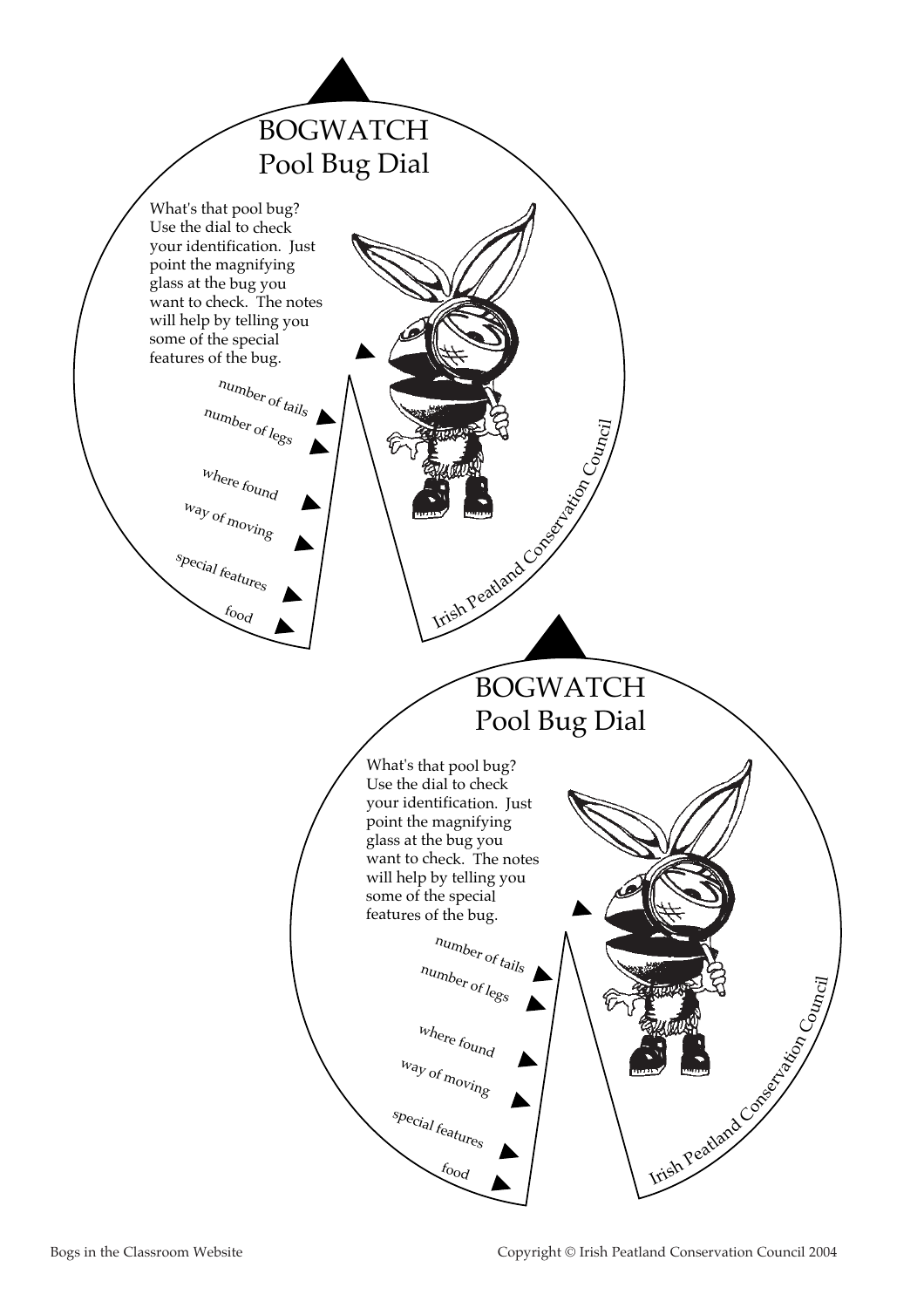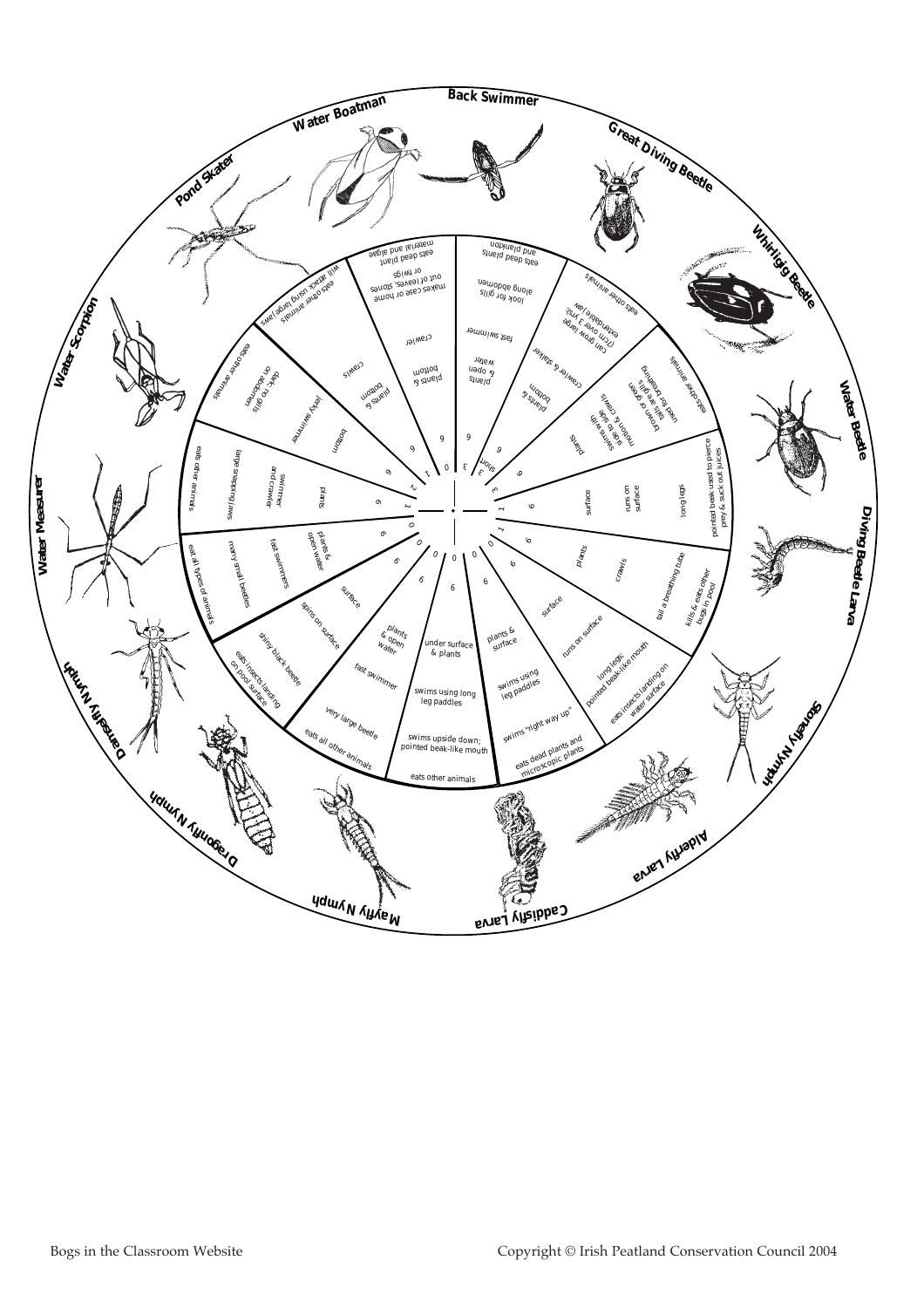